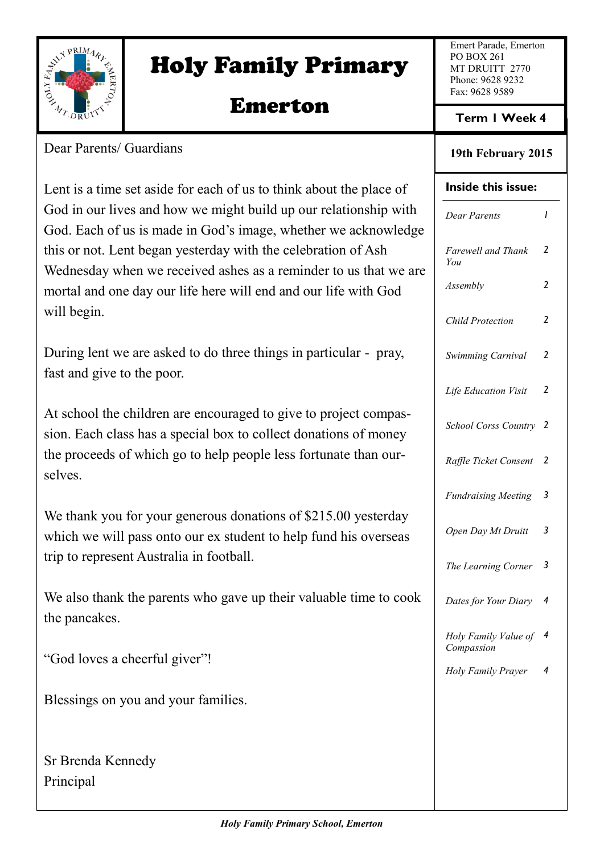

# Holy Family Primary

# Emerton

Emert Parade, Emerton PO BOX 261 MT DRUITT 2770 Phone: 9628 9232 Fax: 9628 9589

**Term 1 Week 4**

#### **19th February 2015**

# **Inside this issue:** *Dear Parents 1 Farewell and Thank You 2 Assembly 2 Child Protection 2 Swimming Carnival 2 Life Education Visit 2 School Corss Country 2 Raffle Ticket Consent 2 Fundraising Meeting 3 Open Day Mt Druitt 3 The Learning Corner 3 Dates for Your Diary 4 Holy Family Value of 4 Compassion Holy Family Prayer 4*

Dear Parents/ Guardians

Lent is a time set aside for each of us to think about the place of God in our lives and how we might build up our relationship with God. Each of us is made in God's image, whether we acknowledge this or not. Lent began yesterday with the celebration of Ash Wednesday when we received ashes as a reminder to us that we are mortal and one day our life here will end and our life with God will begin.

During lent we are asked to do three things in particular - pray, fast and give to the poor.

At school the children are encouraged to give to project compassion. Each class has a special box to collect donations of money the proceeds of which go to help people less fortunate than ourselves.

We thank you for your generous donations of \$215.00 yesterday which we will pass onto our ex student to help fund his overseas trip to represent Australia in football.

We also thank the parents who gave up their valuable time to cook the pancakes.

"God loves a cheerful giver"!

Blessings on you and your families.

Sr Brenda Kennedy Principal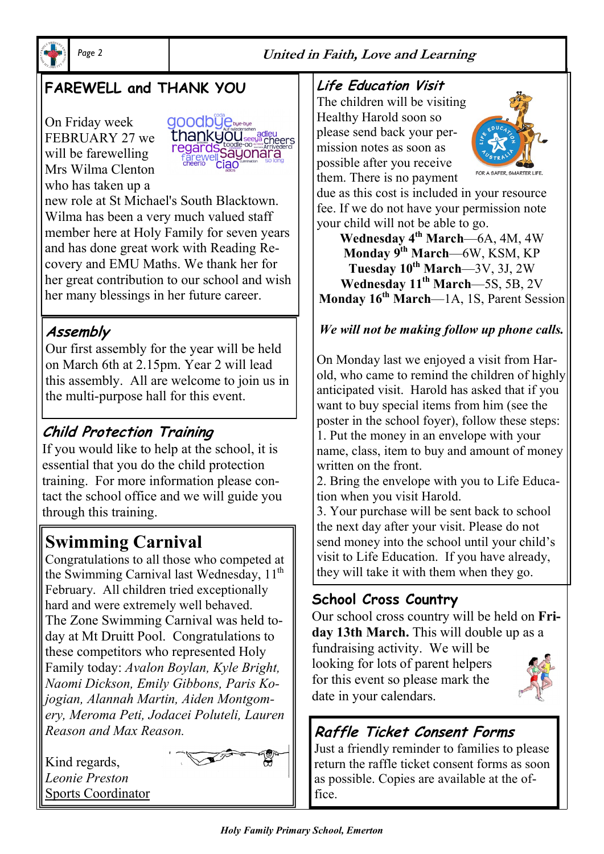

#### *Page 2* **United in Faith, Love and Learning**

### **FAREWELL and THANK YOU**

On Friday week FEBRUARY 27 we will be farewelling Mrs Wilma Clenton who has taken up a



new role at St Michael's South Blacktown. Wilma has been a very much valued staff member here at Holy Family for seven years and has done great work with Reading Recovery and EMU Maths. We thank her for her great contribution to our school and wish her many blessings in her future career.

### **Assembly**

Our first assembly for the year will be held on March 6th at 2.15pm. Year 2 will lead this assembly. All are welcome to join us in the multi-purpose hall for this event.

### **Child Protection Training**

If you would like to help at the school, it is essential that you do the child protection training. For more information please contact the school office and we will guide you through this training.

### **Swimming Carnival**

Congratulations to all those who competed at the Swimming Carnival last Wednesday,  $11<sup>th</sup>$ February. All children tried exceptionally hard and were extremely well behaved. The Zone Swimming Carnival was held today at Mt Druitt Pool. Congratulations to these competitors who represented Holy Family today: *Avalon Boylan, Kyle Bright, Naomi Dickson, Emily Gibbons, Paris Kojogian, Alannah Martin, Aiden Montgomery, Meroma Peti, Jodacei Poluteli, Lauren Reason and Max Reason.*

Kind regards, *Leonie Preston* Sports Coordinator



#### **Life Education Visit**

The children will be visiting Healthy Harold soon so please send back your permission notes as soon as possible after you receive them. There is no payment



due as this cost is included in your resource fee. If we do not have your permission note your child will not be able to go.

**Wednesday 4th March**—6A, 4M, 4W **Monday 9th March**—6W, KSM, KP **Tuesday 10th March**—3V, 3J, 2W **Wednesday 11th March**—5S, 5B, 2V **Monday 16th March**—1A, 1S, Parent Session

#### *We will not be making follow up phone calls.*

On Monday last we enjoyed a visit from Harold, who came to remind the children of highly anticipated visit. Harold has asked that if you want to buy special items from him (see the poster in the school foyer), follow these steps: 1. Put the money in an envelope with your name, class, item to buy and amount of money written on the front.

2. Bring the envelope with you to Life Education when you visit Harold.

3. Your purchase will be sent back to school the next day after your visit. Please do not send money into the school until your child's visit to Life Education. If you have already, they will take it with them when they go.

### **School Cross Country**

Our school cross country will be held on **Friday 13th March.** This will double up as a

fundraising activity. We will be looking for lots of parent helpers for this event so please mark the date in your calendars.



### **Raffle Ticket Consent Forms**

Just a friendly reminder to families to please return the raffle ticket consent forms as soon as possible. Copies are available at the office.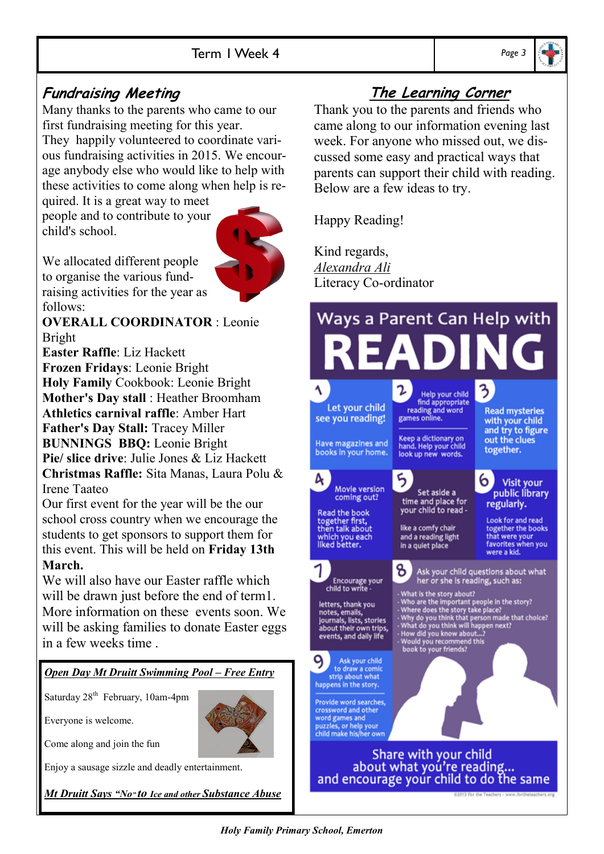#### **Fundraising Meeting**

Many thanks to the parents who came to our first fundraising meeting for this year. They happily volunteered to coordinate various fundraising activities in 2015. We encourage anybody else who would like to help with these activities to come along when help is re-

quired. It is a great way to meet people and to contribute to your child's school.



We allocated different people to organise the various fundraising activities for the year as follows:

**OVERALL COORDINATOR** : Leonie Bright

**Easter Raffle**: Liz Hackett **Frozen Fridays**: Leonie Bright **Holy Family** Cookbook: Leonie Bright **Mother's Day stall** : Heather Broomham **Athletics carnival raffle**: Amber Hart **Father's Day Stall:** Tracey Miller **BUNNINGS BBQ:** Leonie Bright **Pie/ slice drive**: Julie Jones & Liz Hackett **Christmas Raffle:** Sita Manas, Laura Polu & Irene Taateo

Our first event for the year will be the our school cross country when we encourage the students to get sponsors to support them for this event. This will be held on **Friday 13th March.** 

We will also have our Easter raffle which will be drawn just before the end of term1. More information on these events soon. We will be asking families to donate Easter eggs in a few weeks time .

#### *Open Day Mt Druitt Swimming Pool – Free Entry*

Saturday 28<sup>th</sup> February, 10am-4pm

Everyone is welcome.

Come along and join the fun

Enjoy a sausage sizzle and deadly entertainment.

*Mt Druitt Says "No" to Ice and other Substance Abuse*

### **The Learning Corner**

Thank you to the parents and friends who came along to our information evening last week. For anyone who missed out, we discussed some easy and practical ways that parents can support their child with reading. Below are a few ideas to try.

Happy Reading!

Kind regards, *Alexandra Ali* Literacy Co-ordinator

#### Ways a Parent Can Help with 3 Help your child<br>find appropriate<br>reading and word<br>games online. Let your child **Read mysteries** see you reading! with your child and try to figure Keep a dictionary on<br>hand. Help your child out the clues Have magazines and together. books in your home. look up new words. A. 6 **Visit your** Movie version Set aside a public library coming out? time and place for<br>your child to read regularly. Read the book<br>together first,<br>then talk about **Look for and read** together the books like a comfy chair which you each<br>liked better. that were your<br>favorites when you and a reading light in a quiet place were a kid. ზ. Ask your child questions about what Encourage your<br>child to write her or she is reading, such as: What is the story about?<br>
Who are the important people in the story?<br>
Where does the story take place?<br>
Why do you think that person made that choice?<br>
What do you think will happen next?<br>
How did you know about...?<br>
Would letters, thank you<br>notes, emails,<br>journals, lists, stories<br>about their own trips,<br>events, and daily life 9 Ask your child to draw a comic strip about what happens in the story. Provide word searches, crossword and other word games and<br>puzzles, or help your<br>child make his/her own Share with your child about what you're reading...<br>and encourage your child to do the same